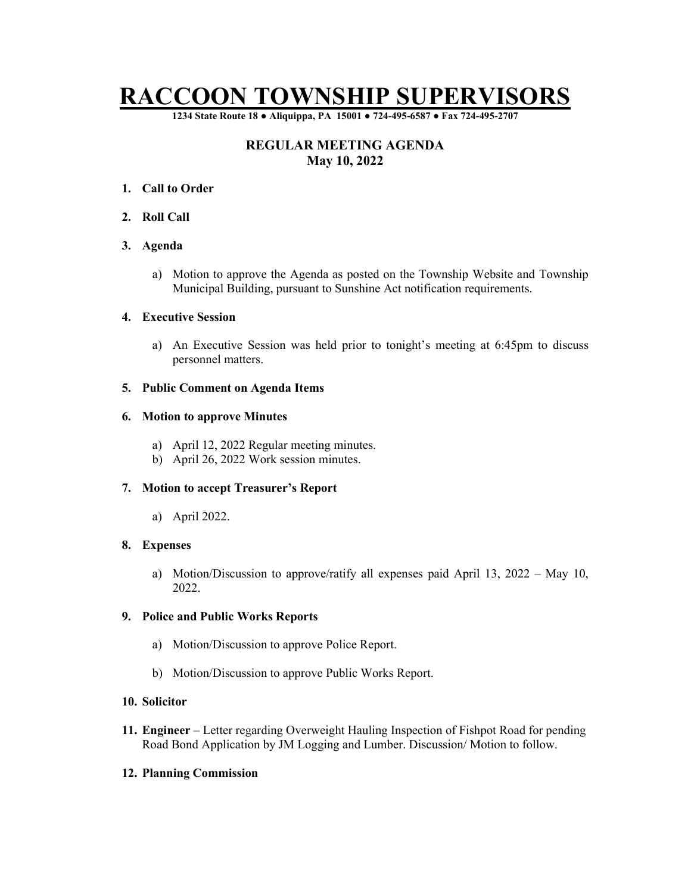# RACCOON TOWNSHIP SUPERVISORS

1234 State Route 18 ● Aliquippa, PA 15001 ● 724-495-6587 ● Fax 724-495-2707

# REGULAR MEETING AGENDA May 10, 2022

- 1. Call to Order
- 2. Roll Call

# 3. Agenda

a) Motion to approve the Agenda as posted on the Township Website and Township Municipal Building, pursuant to Sunshine Act notification requirements.

#### 4. Executive Session

a) An Executive Session was held prior to tonight's meeting at 6:45pm to discuss personnel matters.

#### 5. Public Comment on Agenda Items

# 6. Motion to approve Minutes

- a) April 12, 2022 Regular meeting minutes.
- b) April 26, 2022 Work session minutes.

# 7. Motion to accept Treasurer's Report

a) April 2022.

# 8. Expenses

a) Motion/Discussion to approve/ratify all expenses paid April 13, 2022 – May 10, 2022.

# 9. Police and Public Works Reports

- a) Motion/Discussion to approve Police Report.
- b) Motion/Discussion to approve Public Works Report.

# 10. Solicitor

11. Engineer – Letter regarding Overweight Hauling Inspection of Fishpot Road for pending Road Bond Application by JM Logging and Lumber. Discussion/ Motion to follow.

# 12. Planning Commission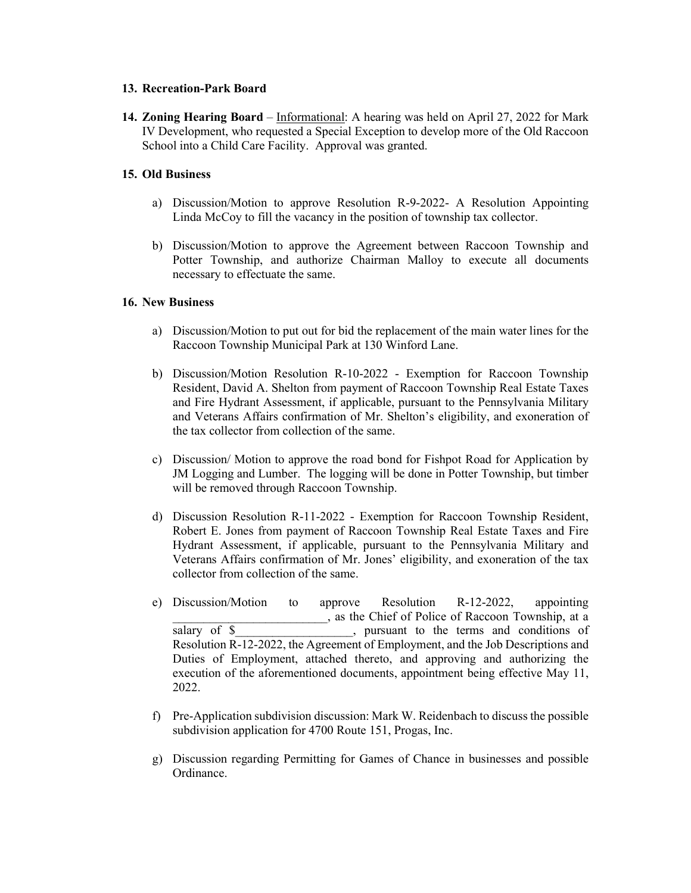#### 13. Recreation-Park Board

14. Zoning Hearing Board – Informational: A hearing was held on April 27, 2022 for Mark IV Development, who requested a Special Exception to develop more of the Old Raccoon School into a Child Care Facility. Approval was granted.

# 15. Old Business

- a) Discussion/Motion to approve Resolution R-9-2022- A Resolution Appointing Linda McCoy to fill the vacancy in the position of township tax collector.
- b) Discussion/Motion to approve the Agreement between Raccoon Township and Potter Township, and authorize Chairman Malloy to execute all documents necessary to effectuate the same.

# 16. New Business

- a) Discussion/Motion to put out for bid the replacement of the main water lines for the Raccoon Township Municipal Park at 130 Winford Lane.
- b) Discussion/Motion Resolution R-10-2022 Exemption for Raccoon Township Resident, David A. Shelton from payment of Raccoon Township Real Estate Taxes and Fire Hydrant Assessment, if applicable, pursuant to the Pennsylvania Military and Veterans Affairs confirmation of Mr. Shelton's eligibility, and exoneration of the tax collector from collection of the same.
- c) Discussion/ Motion to approve the road bond for Fishpot Road for Application by JM Logging and Lumber. The logging will be done in Potter Township, but timber will be removed through Raccoon Township.
- d) Discussion Resolution R-11-2022 Exemption for Raccoon Township Resident, Robert E. Jones from payment of Raccoon Township Real Estate Taxes and Fire Hydrant Assessment, if applicable, pursuant to the Pennsylvania Military and Veterans Affairs confirmation of Mr. Jones' eligibility, and exoneration of the tax collector from collection of the same.
- e) Discussion/Motion to approve Resolution R-12-2022, appointing \_\_\_\_\_\_\_\_\_\_\_\_\_\_\_\_\_\_\_\_\_\_\_\_\_, as the Chief of Police of Raccoon Township, at a salary of \$, pursuant to the terms and conditions of Resolution R-12-2022, the Agreement of Employment, and the Job Descriptions and Duties of Employment, attached thereto, and approving and authorizing the execution of the aforementioned documents, appointment being effective May 11, 2022.
- f) Pre-Application subdivision discussion: Mark W. Reidenbach to discuss the possible subdivision application for 4700 Route 151, Progas, Inc.
- g) Discussion regarding Permitting for Games of Chance in businesses and possible Ordinance.